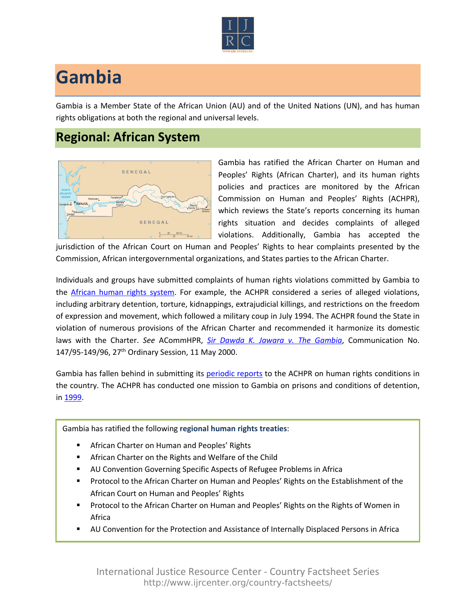

## **Gambia**

Gambia is a Member State of the African Union (AU) and of the United Nations (UN), and has human rights obligations at both the regional and universal levels.

## **Regional: African System**



Gambia has ratified the African Charter on Human and Peoples' Rights (African Charter), and its human rights policies and practices are monitored by the African Commission on Human and Peoples' Rights (ACHPR), which reviews the State's reports concerning its human rights situation and decides complaints of alleged violations. Additionally, Gambia has accepted the

jurisdiction of the African Court on Human and Peoples' Rights to hear complaints presented by the Commission, African intergovernmental organizations, and States parties to the African Charter.

Individuals and groups have submitted complaints of human rights violations committed by Gambia to the [African human rights system](http://www.ijrcenter.org/regional/african/). For example, the ACHPR considered a series of alleged violations, including arbitrary detention, torture, kidnappings, extrajudicial killings, and restrictions on the freedom of expression and movement, which followed a military coup in July 1994. The ACHPR found the State in violation of numerous provisions of the African Charter and recommended it harmonize its domestic laws with the Charter. *See* ACommHPR, *[Sir Dawda K. Jawara v. The Gambia](http://www.achpr.org/files/sessions/27th/comunications/147.95-149.96/achpr27_147.95_149.96_eng.pdf)*, Communication No. 147/95-149/96, 27th Ordinary Session, 11 May 2000.

Gambia has fallen behind in submitting its [periodic reports](http://www.achpr.org/states/gambia/) to the ACHPR on human rights conditions in the country. The ACHPR has conducted one mission to Gambia on prisons and conditions of detention, in [1999](http://www.achpr.org/states/gambia/missions/prisons-1999/).

## Gambia has ratified the following **regional human rights treaties**:

- African Charter on Human and Peoples' Rights
- African Charter on the Rights and Welfare of the Child
- AU Convention Governing Specific Aspects of Refugee Problems in Africa
- Protocol to the African Charter on Human and Peoples' Rights on the Establishment of the African Court on Human and Peoples' Rights
- Protocol to the African Charter on Human and Peoples' Rights on the Rights of Women in Africa
- AU Convention for the Protection and Assistance of Internally Displaced Persons in Africa